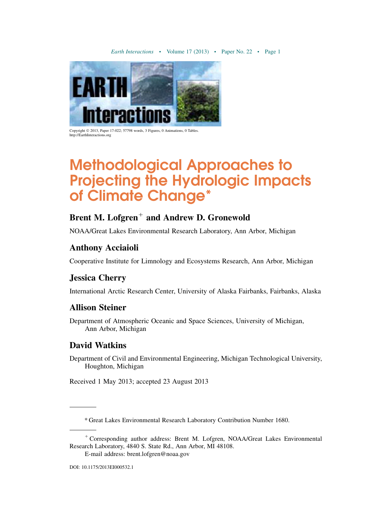

Copyright 2013, Paper 17-022; 57798 words, 3 Figures, 0 Animations, 0 Tables. http://EarthInteractions.org

# Methodological Approaches to Projecting the Hydrologic Impacts of Climate Change\*

# Brent M. Lofgren<sup>+</sup> and Andrew D. Gronewold

NOAA/Great Lakes Environmental Research Laboratory, Ann Arbor, Michigan

# Anthony Acciaioli

Cooperative Institute for Limnology and Ecosystems Research, Ann Arbor, Michigan

# Jessica Cherry

International Arctic Research Center, University of Alaska Fairbanks, Fairbanks, Alaska

# Allison Steiner

Department of Atmospheric Oceanic and Space Sciences, University of Michigan, Ann Arbor, Michigan

# David Watkins

Department of Civil and Environmental Engineering, Michigan Technological University, Houghton, Michigan

Received 1 May 2013; accepted 23 August 2013

<sup>\*</sup> Great Lakes Environmental Research Laboratory Contribution Number 1680.

<sup>&</sup>lt;sup>+</sup> Corresponding author address: Brent M. Lofgren, NOAA/Great Lakes Environmental Research Laboratory, 4840 S. State Rd., Ann Arbor, MI 48108.

E-mail address: [brent.lofgren@noaa.gov](mailto:brent.lofgren@noaa.gov)

DOI: 10.1175/2013EI000532.1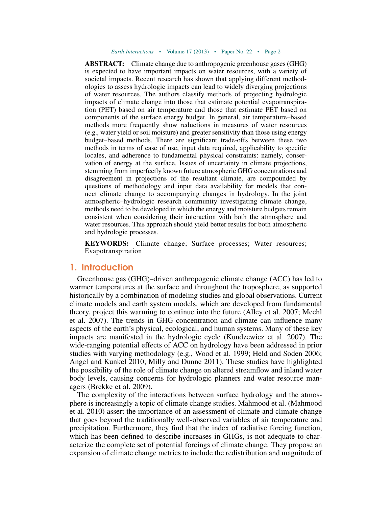ABSTRACT: Climate change due to anthropogenic greenhouse gases (GHG) is expected to have important impacts on water resources, with a variety of societal impacts. Recent research has shown that applying different methodologies to assess hydrologic impacts can lead to widely diverging projections of water resources. The authors classify methods of projecting hydrologic impacts of climate change into those that estimate potential evapotranspiration (PET) based on air temperature and those that estimate PET based on components of the surface energy budget. In general, air temperature–based methods more frequently show reductions in measures of water resources (e.g., water yield or soil moisture) and greater sensitivity than those using energy budget–based methods. There are significant trade-offs between these two methods in terms of ease of use, input data required, applicability to specific locales, and adherence to fundamental physical constraints: namely, conservation of energy at the surface. Issues of uncertainty in climate projections, stemming from imperfectly known future atmospheric GHG concentrations and disagreement in projections of the resultant climate, are compounded by questions of methodology and input data availability for models that connect climate change to accompanying changes in hydrology. In the joint atmospheric–hydrologic research community investigating climate change, methods need to be developed in which the energy and moisture budgets remain consistent when considering their interaction with both the atmosphere and water resources. This approach should yield better results for both atmospheric and hydrologic processes.

KEYWORDS: Climate change; Surface processes; Water resources; Evapotranspiration

#### 1. Introduction

Greenhouse gas (GHG)–driven anthropogenic climate change (ACC) has led to warmer temperatures at the surface and throughout the troposphere, as supported historically by a combination of modeling studies and global observations. Current climate models and earth system models, which are developed from fundamental theory, project this warming to continue into the future (Alley et al. 2007; Meehl et al. 2007). The trends in GHG concentration and climate can influence many aspects of the earth's physical, ecological, and human systems. Many of these key impacts are manifested in the hydrologic cycle (Kundzewicz et al. 2007). The wide-ranging potential effects of ACC on hydrology have been addressed in prior studies with varying methodology (e.g., Wood et al. 1999; Held and Soden 2006; Angel and Kunkel 2010; Milly and Dunne 2011). These studies have highlighted the possibility of the role of climate change on altered streamflow and inland water body levels, causing concerns for hydrologic planners and water resource managers (Brekke et al. 2009).

The complexity of the interactions between surface hydrology and the atmosphere is increasingly a topic of climate change studies. Mahmood et al. (Mahmood et al. 2010) assert the importance of an assessment of climate and climate change that goes beyond the traditionally well-observed variables of air temperature and precipitation. Furthermore, they find that the index of radiative forcing function, which has been defined to describe increases in GHGs, is not adequate to characterize the complete set of potential forcings of climate change. They propose an expansion of climate change metrics to include the redistribution and magnitude of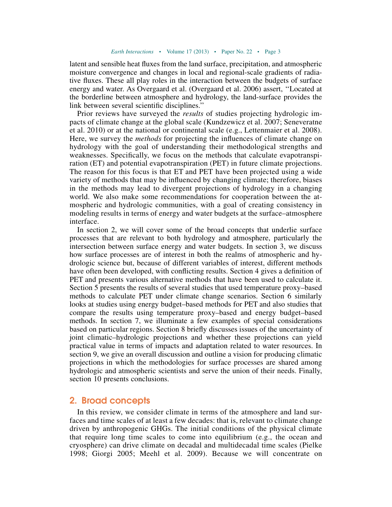latent and sensible heat fluxes from the land surface, precipitation, and atmospheric moisture convergence and changes in local and regional-scale gradients of radiative fluxes. These all play roles in the interaction between the budgets of surface energy and water. As Overgaard et al. (Overgaard et al. 2006) assert, ''Located at the borderline between atmosphere and hydrology, the land-surface provides the link between several scientific disciplines.''

Prior reviews have surveyed the *results* of studies projecting hydrologic impacts of climate change at the global scale (Kundzewicz et al. 2007; Seneveratne et al. 2010) or at the national or continental scale (e.g., Lettenmaier et al. 2008). Here, we survey the methods for projecting the influences of climate change on hydrology with the goal of understanding their methodological strengths and weaknesses. Specifically, we focus on the methods that calculate evapotranspiration (ET) and potential evapotranspiration (PET) in future climate projections. The reason for this focus is that ET and PET have been projected using a wide variety of methods that may be influenced by changing climate; therefore, biases in the methods may lead to divergent projections of hydrology in a changing world. We also make some recommendations for cooperation between the atmospheric and hydrologic communities, with a goal of creating consistency in modeling results in terms of energy and water budgets at the surface–atmosphere interface.

In section 2, we will cover some of the broad concepts that underlie surface processes that are relevant to both hydrology and atmosphere, particularly the intersection between surface energy and water budgets. In section 3, we discuss how surface processes are of interest in both the realms of atmospheric and hydrologic science but, because of different variables of interest, different methods have often been developed, with conflicting results. Section 4 gives a definition of PET and presents various alternative methods that have been used to calculate it. Section 5 presents the results of several studies that used temperature proxy–based methods to calculate PET under climate change scenarios. Section 6 similarly looks at studies using energy budget–based methods for PET and also studies that compare the results using temperature proxy–based and energy budget–based methods. In section 7, we illuminate a few examples of special considerations based on particular regions. Section 8 briefly discusses issues of the uncertainty of joint climatic–hydrologic projections and whether these projections can yield practical value in terms of impacts and adaptation related to water resources. In section 9, we give an overall discussion and outline a vision for producing climatic projections in which the methodologies for surface processes are shared among hydrologic and atmospheric scientists and serve the union of their needs. Finally, section 10 presents conclusions.

#### 2. Broad concepts

In this review, we consider climate in terms of the atmosphere and land surfaces and time scales of at least a few decades: that is, relevant to climate change driven by anthropogenic GHGs. The initial conditions of the physical climate that require long time scales to come into equilibrium (e.g., the ocean and cryosphere) can drive climate on decadal and multidecadal time scales (Pielke 1998; Giorgi 2005; Meehl et al. 2009). Because we will concentrate on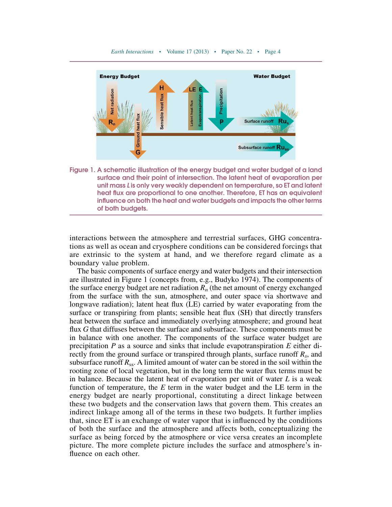

Figure 1. A schematic illustration of the energy budget and water budget of a land surface and their point of intersection. The latent heat of evaporation per unit mass L is only very weakly dependent on temperature, so ET and latent heat flux are proportional to one another. Therefore, ET has an equivalent influence on both the heat and water budgets and impacts the other terms of both budgets.

interactions between the atmosphere and terrestrial surfaces, GHG concentrations as well as ocean and cryosphere conditions can be considered forcings that are extrinsic to the system at hand, and we therefore regard climate as a boundary value problem.

The basic components of surface energy and water budgets and their intersection are illustrated in Figure 1 (concepts from, e.g., Budyko 1974). The components of the surface energy budget are net radiation  $R_n$  (the net amount of energy exchanged from the surface with the sun, atmosphere, and outer space via shortwave and longwave radiation); latent heat flux (LE) carried by water evaporating from the surface or transpiring from plants; sensible heat flux (SH) that directly transfers heat between the surface and immediately overlying atmosphere; and ground heat flux G that diffuses between the surface and subsurface. These components must be in balance with one another. The components of the surface water budget are precipitation  $P$  as a source and sinks that include evapotranspiration  $E$  either directly from the ground surface or transpired through plants, surface runoff  $R_s$ , and subsurface runoff  $R_{ss}$ . A limited amount of water can be stored in the soil within the rooting zone of local vegetation, but in the long term the water flux terms must be in balance. Because the latent heat of evaporation per unit of water  $L$  is a weak function of temperature, the  $E$  term in the water budget and the LE term in the energy budget are nearly proportional, constituting a direct linkage between these two budgets and the conservation laws that govern them. This creates an indirect linkage among all of the terms in these two budgets. It further implies that, since ET is an exchange of water vapor that is influenced by the conditions of both the surface and the atmosphere and affects both, conceptualizing the surface as being forced by the atmosphere or vice versa creates an incomplete picture. The more complete picture includes the surface and atmosphere's influence on each other.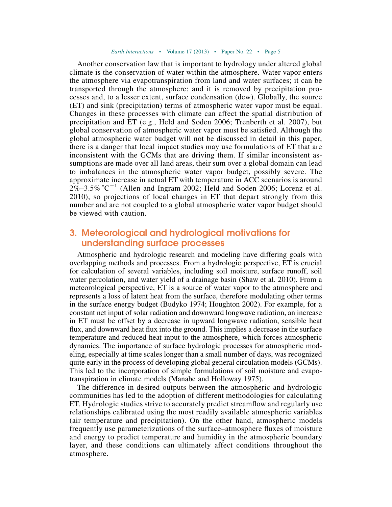Another conservation law that is important to hydrology under altered global climate is the conservation of water within the atmosphere. Water vapor enters the atmosphere via evapotranspiration from land and water surfaces; it can be transported through the atmosphere; and it is removed by precipitation processes and, to a lesser extent, surface condensation (dew). Globally, the source (ET) and sink (precipitation) terms of atmospheric water vapor must be equal. Changes in these processes with climate can affect the spatial distribution of precipitation and ET (e.g., Held and Soden 2006; Trenberth et al. 2007), but global conservation of atmospheric water vapor must be satisfied. Although the global atmospheric water budget will not be discussed in detail in this paper, there is a danger that local impact studies may use formulations of ET that are inconsistent with the GCMs that are driving them. If similar inconsistent assumptions are made over all land areas, their sum over a global domain can lead to imbalances in the atmospheric water vapor budget, possibly severe. The approximate increase in actual ET with temperature in ACC scenarios is around  $2\% - 3.5\%$  °C<sup>-1</sup> (Allen and Ingram 2002; Held and Soden 2006; Lorenz et al. 2010), so projections of local changes in ET that depart strongly from this number and are not coupled to a global atmospheric water vapor budget should be viewed with caution.

# 3. Meteorological and hydrological motivations for understanding surface processes

Atmospheric and hydrologic research and modeling have differing goals with overlapping methods and processes. From a hydrologic perspective, ET is crucial for calculation of several variables, including soil moisture, surface runoff, soil water percolation, and water yield of a drainage basin (Shaw et al. 2010). From a meteorological perspective, ET is a source of water vapor to the atmosphere and represents a loss of latent heat from the surface, therefore modulating other terms in the surface energy budget (Budyko 1974; Houghton 2002). For example, for a constant net input of solar radiation and downward longwave radiation, an increase in ET must be offset by a decrease in upward longwave radiation, sensible heat flux, and downward heat flux into the ground. This implies a decrease in the surface temperature and reduced heat input to the atmosphere, which forces atmospheric dynamics. The importance of surface hydrologic processes for atmospheric modeling, especially at time scales longer than a small number of days, was recognized quite early in the process of developing global general circulation models (GCMs). This led to the incorporation of simple formulations of soil moisture and evapotranspiration in climate models (Manabe and Holloway 1975).

The difference in desired outputs between the atmospheric and hydrologic communities has led to the adoption of different methodologies for calculating ET. Hydrologic studies strive to accurately predict streamflow and regularly use relationships calibrated using the most readily available atmospheric variables (air temperature and precipitation). On the other hand, atmospheric models frequently use parameterizations of the surface–atmosphere fluxes of moisture and energy to predict temperature and humidity in the atmospheric boundary layer, and these conditions can ultimately affect conditions throughout the atmosphere.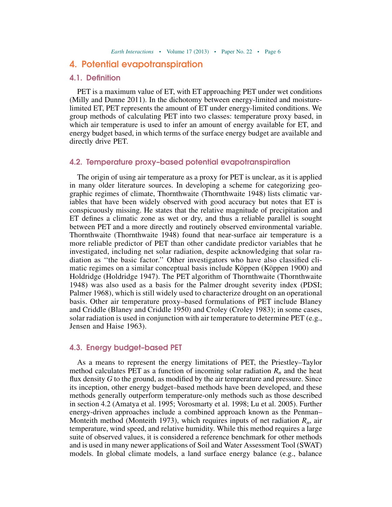#### 4. Potential evapotranspiration

#### 4.1. Definition

PET is a maximum value of ET, with ET approaching PET under wet conditions (Milly and Dunne 2011). In the dichotomy between energy-limited and moisturelimited ET, PET represents the amount of ET under energy-limited conditions. We group methods of calculating PET into two classes: temperature proxy based, in which air temperature is used to infer an amount of energy available for ET, and energy budget based, in which terms of the surface energy budget are available and directly drive PET.

#### 4.2. Temperature proxy–based potential evapotranspiration

The origin of using air temperature as a proxy for PET is unclear, as it is applied in many older literature sources. In developing a scheme for categorizing geographic regimes of climate, Thornthwaite (Thornthwaite 1948) lists climatic variables that have been widely observed with good accuracy but notes that ET is conspicuously missing. He states that the relative magnitude of precipitation and ET defines a climatic zone as wet or dry, and thus a reliable parallel is sought between PET and a more directly and routinely observed environmental variable. Thornthwaite (Thornthwaite 1948) found that near-surface air temperature is a more reliable predictor of PET than other candidate predictor variables that he investigated, including net solar radiation, despite acknowledging that solar radiation as ''the basic factor.'' Other investigators who have also classified climatic regimes on a similar conceptual basis include Köppen (Köppen 1900) and Holdridge (Holdridge 1947). The PET algorithm of Thornthwaite (Thornthwaite 1948) was also used as a basis for the Palmer drought severity index (PDSI; Palmer 1968), which is still widely used to characterize drought on an operational basis. Other air temperature proxy–based formulations of PET include Blaney and Criddle (Blaney and Criddle 1950) and Croley (Croley 1983); in some cases, solar radiation is used in conjunction with air temperature to determine PET (e.g., Jensen and Haise 1963).

#### 4.3. Energy budget–based PET

As a means to represent the energy limitations of PET, the Priestley–Taylor method calculates PET as a function of incoming solar radiation  $R_n$  and the heat flux density G to the ground, as modified by the air temperature and pressure. Since its inception, other energy budget–based methods have been developed, and these methods generally outperform temperature-only methods such as those described in section 4.2 (Amatya et al. 1995; Vorosmarty et al. 1998; Lu et al. 2005). Further energy-driven approaches include a combined approach known as the Penman– Monteith method (Monteith 1973), which requires inputs of net radiation  $R_n$ , air temperature, wind speed, and relative humidity. While this method requires a large suite of observed values, it is considered a reference benchmark for other methods and is used in many newer applications of Soil and Water Assessment Tool (SWAT) models. In global climate models, a land surface energy balance (e.g., balance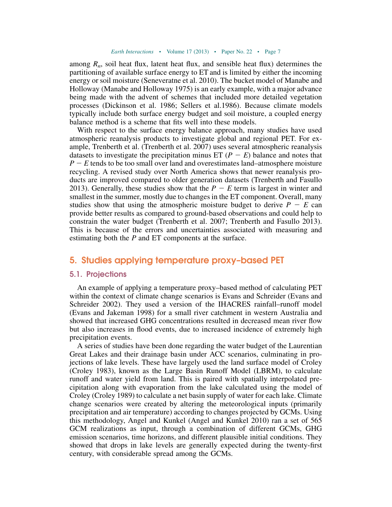among  $R_n$ , soil heat flux, latent heat flux, and sensible heat flux) determines the partitioning of available surface energy to ET and is limited by either the incoming energy or soil moisture (Seneveratne et al. 2010). The bucket model of Manabe and Holloway (Manabe and Holloway 1975) is an early example, with a major advance being made with the advent of schemes that included more detailed vegetation processes (Dickinson et al. 1986; Sellers et al.1986). Because climate models typically include both surface energy budget and soil moisture, a coupled energy balance method is a scheme that fits well into these models.

With respect to the surface energy balance approach, many studies have used atmospheric reanalysis products to investigate global and regional PET. For example, Trenberth et al. (Trenberth et al. 2007) uses several atmospheric reanalysis datasets to investigate the precipitation minus  $ET(P - E)$  balance and notes that  $P - E$  tends to be too small over land and overestimates land–atmosphere moisture recycling. A revised study over North America shows that newer reanalysis products are improved compared to older generation datasets (Trenberth and Fasullo 2013). Generally, these studies show that the  $P - E$  term is largest in winter and smallest in the summer, mostly due to changes in the ET component. Overall, many studies show that using the atmospheric moisture budget to derive  $P - E$  can provide better results as compared to ground-based observations and could help to constrain the water budget (Trenberth et al. 2007; Trenberth and Fasullo 2013). This is because of the errors and uncertainties associated with measuring and estimating both the P and ET components at the surface.

## 5. Studies applying temperature proxy–based PET

#### 5.1. Projections

An example of applying a temperature proxy–based method of calculating PET within the context of climate change scenarios is Evans and Schreider (Evans and Schreider 2002). They used a version of the IHACRES rainfall–runoff model (Evans and Jakeman 1998) for a small river catchment in western Australia and showed that increased GHG concentrations resulted in decreased mean river flow but also increases in flood events, due to increased incidence of extremely high precipitation events.

A series of studies have been done regarding the water budget of the Laurentian Great Lakes and their drainage basin under ACC scenarios, culminating in projections of lake levels. These have largely used the land surface model of Croley (Croley 1983), known as the Large Basin Runoff Model (LBRM), to calculate runoff and water yield from land. This is paired with spatially interpolated precipitation along with evaporation from the lake calculated using the model of Croley (Croley 1989) to calculate a net basin supply of water for each lake. Climate change scenarios were created by altering the meteorological inputs (primarily precipitation and air temperature) according to changes projected by GCMs. Using this methodology, Angel and Kunkel (Angel and Kunkel 2010) ran a set of 565 GCM realizations as input, through a combination of different GCMs, GHG emission scenarios, time horizons, and different plausible initial conditions. They showed that drops in lake levels are generally expected during the twenty-first century, with considerable spread among the GCMs.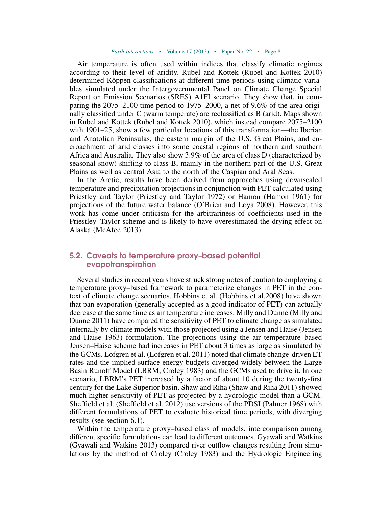Air temperature is often used within indices that classify climatic regimes according to their level of aridity. Rubel and Kottek (Rubel and Kottek 2010) determined Köppen classifications at different time periods using climatic variables simulated under the Intergovernmental Panel on Climate Change Special Report on Emission Scenarios (SRES) A1FI scenario. They show that, in comparing the 2075–2100 time period to 1975–2000, a net of 9.6% of the area originally classified under C (warm temperate) are reclassified as B (arid). Maps shown in Rubel and Kottek (Rubel and Kottek 2010), which instead compare 2075–2100 with 1901–25, show a few particular locations of this transformation—the Iberian and Anatolian Peninsulas, the eastern margin of the U.S. Great Plains, and encroachment of arid classes into some coastal regions of northern and southern Africa and Australia. They also show 3.9% of the area of class D (characterized by seasonal snow) shifting to class B, mainly in the northern part of the U.S. Great Plains as well as central Asia to the north of the Caspian and Aral Seas.

In the Arctic, results have been derived from approaches using downscaled temperature and precipitation projections in conjunction with PET calculated using Priestley and Taylor (Priestley and Taylor 1972) or Hamon (Hamon 1961) for projections of the future water balance (O'Brien and Loya 2008). However, this work has come under criticism for the arbitrariness of coefficients used in the Priestley–Taylor scheme and is likely to have overestimated the drying effect on Alaska (McAfee 2013).

#### 5.2. Caveats to temperature proxy–based potential evapotranspiration

Several studies in recent years have struck strong notes of caution to employing a temperature proxy–based framework to parameterize changes in PET in the context of climate change scenarios. Hobbins et al. (Hobbins et al.2008) have shown that pan evaporation (generally accepted as a good indicator of PET) can actually decrease at the same time as air temperature increases. Milly and Dunne (Milly and Dunne 2011) have compared the sensitivity of PET to climate change as simulated internally by climate models with those projected using a Jensen and Haise (Jensen and Haise 1963) formulation. The projections using the air temperature–based Jensen–Haise scheme had increases in PET about 3 times as large as simulated by the GCMs. Lofgren et al. (Lofgren et al. 2011) noted that climate change-driven ET rates and the implied surface energy budgets diverged widely between the Large Basin Runoff Model (LBRM; Croley 1983) and the GCMs used to drive it. In one scenario, LBRM's PET increased by a factor of about 10 during the twenty-first century for the Lake Superior basin. Shaw and Riha (Shaw and Riha 2011) showed much higher sensitivity of PET as projected by a hydrologic model than a GCM. Sheffield et al. (Sheffield et al. 2012) use versions of the PDSI (Palmer 1968) with different formulations of PET to evaluate historical time periods, with diverging results (see section 6.1).

Within the temperature proxy–based class of models, intercomparison among different specific formulations can lead to different outcomes. Gyawali and Watkins (Gyawali and Watkins 2013) compared river outflow changes resulting from simulations by the method of Croley (Croley 1983) and the Hydrologic Engineering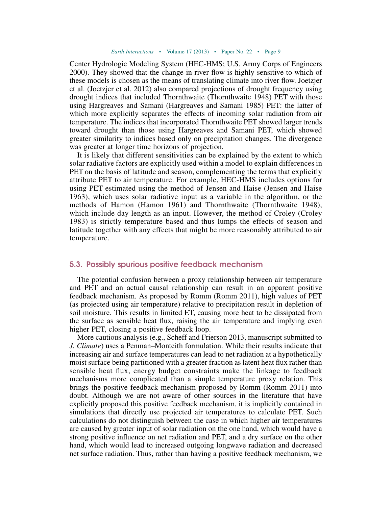Center Hydrologic Modeling System (HEC-HMS; U.S. Army Corps of Engineers 2000). They showed that the change in river flow is highly sensitive to which of these models is chosen as the means of translating climate into river flow. Joetzjer et al. (Joetzjer et al. 2012) also compared projections of drought frequency using drought indices that included Thornthwaite (Thornthwaite 1948) PET with those using Hargreaves and Samani (Hargreaves and Samani 1985) PET: the latter of which more explicitly separates the effects of incoming solar radiation from air temperature. The indices that incorporated Thornthwaite PET showed larger trends toward drought than those using Hargreaves and Samani PET, which showed greater similarity to indices based only on precipitation changes. The divergence was greater at longer time horizons of projection.

It is likely that different sensitivities can be explained by the extent to which solar radiative factors are explicitly used within a model to explain differences in PET on the basis of latitude and season, complementing the terms that explicitly attribute PET to air temperature. For example, HEC-HMS includes options for using PET estimated using the method of Jensen and Haise (Jensen and Haise 1963), which uses solar radiative input as a variable in the algorithm, or the methods of Hamon (Hamon 1961) and Thornthwaite (Thornthwaite 1948), which include day length as an input. However, the method of Croley (Croley 1983) is strictly temperature based and thus lumps the effects of season and latitude together with any effects that might be more reasonably attributed to air temperature.

#### 5.3. Possibly spurious positive feedback mechanism

The potential confusion between a proxy relationship between air temperature and PET and an actual causal relationship can result in an apparent positive feedback mechanism. As proposed by Romm (Romm 2011), high values of PET (as projected using air temperature) relative to precipitation result in depletion of soil moisture. This results in limited ET, causing more heat to be dissipated from the surface as sensible heat flux, raising the air temperature and implying even higher PET, closing a positive feedback loop.

More cautious analysis (e.g., Scheff and Frierson 2013, manuscript submitted to J. Climate) uses a Penman–Monteith formulation. While their results indicate that increasing air and surface temperatures can lead to net radiation at a hypothetically moist surface being partitioned with a greater fraction as latent heat flux rather than sensible heat flux, energy budget constraints make the linkage to feedback mechanisms more complicated than a simple temperature proxy relation. This brings the positive feedback mechanism proposed by Romm (Romm 2011) into doubt. Although we are not aware of other sources in the literature that have explicitly proposed this positive feedback mechanism, it is implicitly contained in simulations that directly use projected air temperatures to calculate PET. Such calculations do not distinguish between the case in which higher air temperatures are caused by greater input of solar radiation on the one hand, which would have a strong positive influence on net radiation and PET, and a dry surface on the other hand, which would lead to increased outgoing longwave radiation and decreased net surface radiation. Thus, rather than having a positive feedback mechanism, we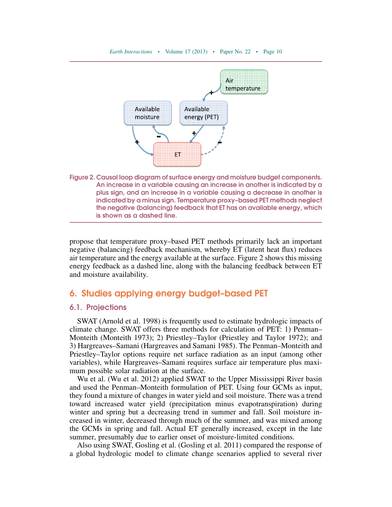

Figure 2. Causal loop diagram of surface energy and moisture budget components. An increase in a variable causing an increase in another is indicated by a plus sign, and an increase in a variable causing a decrease in another is indicated by a minus sign. Temperature proxy–based PET methods neglect the negative (balancing) feedback that ET has on available energy, which is shown as a dashed line.

propose that temperature proxy–based PET methods primarily lack an important negative (balancing) feedback mechanism, whereby ET (latent heat flux) reduces air temperature and the energy available at the surface. Figure 2 shows this missing energy feedback as a dashed line, along with the balancing feedback between ET and moisture availability.

# 6. Studies applying energy budget–based PET

#### 6.1. Projections

SWAT (Arnold et al. 1998) is frequently used to estimate hydrologic impacts of climate change. SWAT offers three methods for calculation of PET: 1) Penman– Monteith (Monteith 1973); 2) Priestley–Taylor (Priestley and Taylor 1972); and 3) Hargreaves–Samani (Hargreaves and Samani 1985). The Penman–Monteith and Priestley–Taylor options require net surface radiation as an input (among other variables), while Hargreaves–Samani requires surface air temperature plus maximum possible solar radiation at the surface.

Wu et al. (Wu et al. 2012) applied SWAT to the Upper Mississippi River basin and used the Penman–Monteith formulation of PET. Using four GCMs as input, they found a mixture of changes in water yield and soil moisture. There was a trend toward increased water yield (precipitation minus evapotranspiration) during winter and spring but a decreasing trend in summer and fall. Soil moisture increased in winter, decreased through much of the summer, and was mixed among the GCMs in spring and fall. Actual ET generally increased, except in the late summer, presumably due to earlier onset of moisture-limited conditions.

Also using SWAT, Gosling et al. (Gosling et al. 2011) compared the response of a global hydrologic model to climate change scenarios applied to several river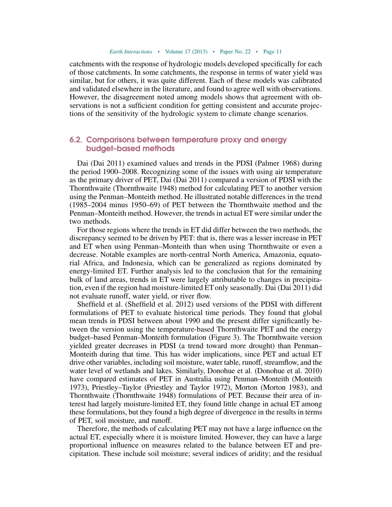catchments with the response of hydrologic models developed specifically for each of those catchments. In some catchments, the response in terms of water yield was similar, but for others, it was quite different. Each of these models was calibrated and validated elsewhere in the literature, and found to agree well with observations. However, the disagreement noted among models shows that agreement with observations is not a sufficient condition for getting consistent and accurate projections of the sensitivity of the hydrologic system to climate change scenarios.

#### 6.2. Comparisons between temperature proxy and energy budget–based methods

Dai (Dai 2011) examined values and trends in the PDSI (Palmer 1968) during the period 1900–2008. Recognizing some of the issues with using air temperature as the primary driver of PET, Dai (Dai 2011) compared a version of PDSI with the Thornthwaite (Thornthwaite 1948) method for calculating PET to another version using the Penman–Monteith method. He illustrated notable differences in the trend (1985–2004 minus 1950–69) of PET between the Thornthwaite method and the Penman–Monteith method. However, the trends in actual ET were similar under the two methods.

For those regions where the trends in ET did differ between the two methods, the discrepancy seemed to be driven by PET: that is, there was a lesser increase in PET and ET when using Penman–Monteith than when using Thornthwaite or even a decrease. Notable examples are north-central North America, Amazonia, equatorial Africa, and Indonesia, which can be generalized as regions dominated by energy-limited ET. Further analysis led to the conclusion that for the remaining bulk of land areas, trends in ET were largely attributable to changes in precipitation, even if the region had moisture-limited ET only seasonally. Dai (Dai 2011) did not evaluate runoff, water yield, or river flow.

Sheffield et al. (Sheffield et al. 2012) used versions of the PDSI with different formulations of PET to evaluate historical time periods. They found that global mean trends in PDSI between about 1990 and the present differ significantly between the version using the temperature-based Thornthwaite PET and the energy budget–based Penman–Monteith formulation (Figure 3). The Thornthwaite version yielded greater decreases in PDSI (a trend toward more drought) than Penman– Monteith during that time. This has wider implications, since PET and actual ET drive other variables, including soil moisture, water table, runoff, streamflow, and the water level of wetlands and lakes. Similarly, Donohue et al. (Donohue et al. 2010) have compared estimates of PET in Australia using Penman–Monteith (Monteith 1973), Priestley–Taylor (Priestley and Taylor 1972), Morton (Morton 1983), and Thornthwaite (Thornthwaite 1948) formulations of PET. Because their area of interest had largely moisture-limited ET, they found little change in actual ET among these formulations, but they found a high degree of divergence in the results in terms of PET, soil moisture, and runoff.

Therefore, the methods of calculating PET may not have a large influence on the actual ET, especially where it is moisture limited. However, they can have a large proportional influence on measures related to the balance between ET and precipitation. These include soil moisture; several indices of aridity; and the residual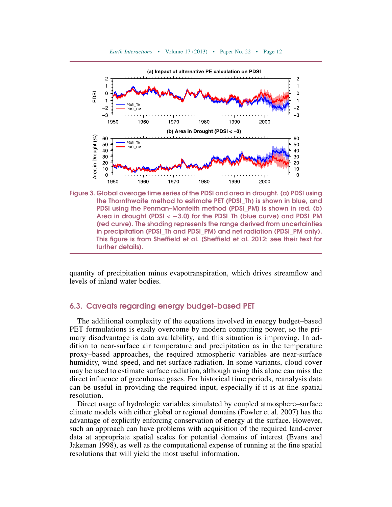

Figure 3. Global average time series of the PDSI and area in drought. (a) PDSI using the Thornthwaite method to estimate PET (PDSI\_Th) is shown in blue, and PDSI using the Penman-Monteith method (PDSI\_PM) is shown in red. (b) Area in drought (PDSI  $<-3.0$ ) for the PDSI Th (blue curve) and PDSI PM (red curve). The shading represents the range derived from uncertainties in precipitation (PDSI\_Th and PDSI\_PM) and net radiation (PDSI\_PM only). This figure is from Sheffield et al. (Sheffield et al. 2012; see their text for further details).

quantity of precipitation minus evapotranspiration, which drives streamflow and levels of inland water bodies.

#### 6.3. Caveats regarding energy budget–based PET

The additional complexity of the equations involved in energy budget–based PET formulations is easily overcome by modern computing power, so the primary disadvantage is data availability, and this situation is improving. In addition to near-surface air temperature and precipitation as in the temperature proxy–based approaches, the required atmospheric variables are near-surface humidity, wind speed, and net surface radiation. In some variants, cloud cover may be used to estimate surface radiation, although using this alone can miss the direct influence of greenhouse gases. For historical time periods, reanalysis data can be useful in providing the required input, especially if it is at fine spatial resolution.

Direct usage of hydrologic variables simulated by coupled atmosphere–surface climate models with either global or regional domains (Fowler et al. 2007) has the advantage of explicitly enforcing conservation of energy at the surface. However, such an approach can have problems with acquisition of the required land-cover data at appropriate spatial scales for potential domains of interest (Evans and Jakeman 1998), as well as the computational expense of running at the fine spatial resolutions that will yield the most useful information.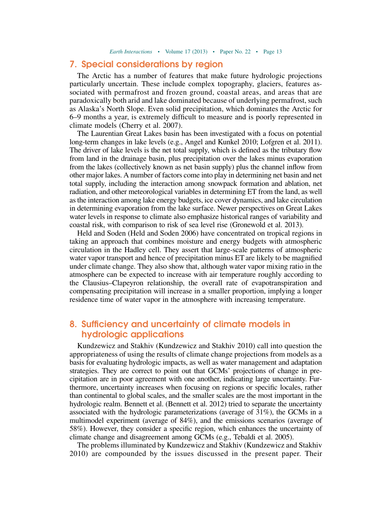# 7. Special considerations by region

The Arctic has a number of features that make future hydrologic projections particularly uncertain. These include complex topography, glaciers, features associated with permafrost and frozen ground, coastal areas, and areas that are paradoxically both arid and lake dominated because of underlying permafrost, such as Alaska's North Slope. Even solid precipitation, which dominates the Arctic for 6–9 months a year, is extremely difficult to measure and is poorly represented in climate models (Cherry et al. 2007).

The Laurentian Great Lakes basin has been investigated with a focus on potential long-term changes in lake levels (e.g., Angel and Kunkel 2010; Lofgren et al. 2011). The driver of lake levels is the net total supply, which is defined as the tributary flow from land in the drainage basin, plus precipitation over the lakes minus evaporation from the lakes (collectively known as net basin supply) plus the channel inflow from other major lakes. A number of factors come into play in determining net basin and net total supply, including the interaction among snowpack formation and ablation, net radiation, and other meteorological variables in determining ET from the land, as well as the interaction among lake energy budgets, ice cover dynamics, and lake circulation in determining evaporation from the lake surface. Newer perspectives on Great Lakes water levels in response to climate also emphasize historical ranges of variability and coastal risk, with comparison to risk of sea level rise (Gronewold et al. 2013).

Held and Soden (Held and Soden 2006) have concentrated on tropical regions in taking an approach that combines moisture and energy budgets with atmospheric circulation in the Hadley cell. They assert that large-scale patterns of atmospheric water vapor transport and hence of precipitation minus ET are likely to be magnified under climate change. They also show that, although water vapor mixing ratio in the atmosphere can be expected to increase with air temperature roughly according to the Clausius–Clapeyron relationship, the overall rate of evapotranspiration and compensating precipitation will increase in a smaller proportion, implying a longer residence time of water vapor in the atmosphere with increasing temperature.

# 8. Sufficiency and uncertainty of climate models in hydrologic applications

Kundzewicz and Stakhiv (Kundzewicz and Stakhiv 2010) call into question the appropriateness of using the results of climate change projections from models as a basis for evaluating hydrologic impacts, as well as water management and adaptation strategies. They are correct to point out that GCMs' projections of change in precipitation are in poor agreement with one another, indicating large uncertainty. Furthermore, uncertainty increases when focusing on regions or specific locales, rather than continental to global scales, and the smaller scales are the most important in the hydrologic realm. Bennett et al. (Bennett et al. 2012) tried to separate the uncertainty associated with the hydrologic parameterizations (average of 31%), the GCMs in a multimodel experiment (average of 84%), and the emissions scenarios (average of 58%). However, they consider a specific region, which enhances the uncertainty of climate change and disagreement among GCMs (e.g., Tebaldi et al. 2005).

The problems illuminated by Kundzewicz and Stakhiv (Kundzewicz and Stakhiv 2010) are compounded by the issues discussed in the present paper. Their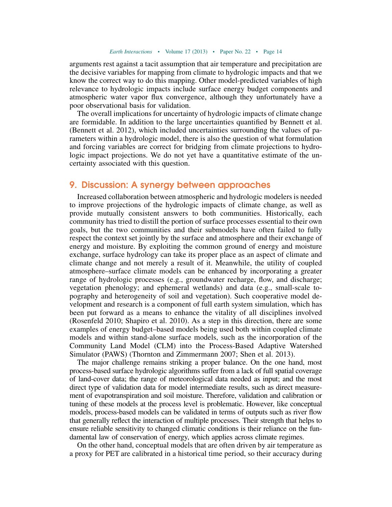arguments rest against a tacit assumption that air temperature and precipitation are the decisive variables for mapping from climate to hydrologic impacts and that we know the correct way to do this mapping. Other model-predicted variables of high relevance to hydrologic impacts include surface energy budget components and atmospheric water vapor flux convergence, although they unfortunately have a poor observational basis for validation.

The overall implications for uncertainty of hydrologic impacts of climate change are formidable. In addition to the large uncertainties quantified by Bennett et al. (Bennett et al. 2012), which included uncertainties surrounding the values of parameters within a hydrologic model, there is also the question of what formulation and forcing variables are correct for bridging from climate projections to hydrologic impact projections. We do not yet have a quantitative estimate of the uncertainty associated with this question.

### 9. Discussion: A synergy between approaches

Increased collaboration between atmospheric and hydrologic modelers is needed to improve projections of the hydrologic impacts of climate change, as well as provide mutually consistent answers to both communities. Historically, each community has tried to distill the portion of surface processes essential to their own goals, but the two communities and their submodels have often failed to fully respect the context set jointly by the surface and atmosphere and their exchange of energy and moisture. By exploiting the common ground of energy and moisture exchange, surface hydrology can take its proper place as an aspect of climate and climate change and not merely a result of it. Meanwhile, the utility of coupled atmosphere–surface climate models can be enhanced by incorporating a greater range of hydrologic processes (e.g., groundwater recharge, flow, and discharge; vegetation phenology; and ephemeral wetlands) and data (e.g., small-scale topography and heterogeneity of soil and vegetation). Such cooperative model development and research is a component of full earth system simulation, which has been put forward as a means to enhance the vitality of all disciplines involved (Rosenfeld 2010; Shapiro et al. 2010). As a step in this direction, there are some examples of energy budget–based models being used both within coupled climate models and within stand-alone surface models, such as the incorporation of the Community Land Model (CLM) into the Process-Based Adaptive Watershed Simulator (PAWS) (Thornton and Zimmermann 2007; Shen et al. 2013).

The major challenge remains striking a proper balance. On the one hand, most process-based surface hydrologic algorithms suffer from a lack of full spatial coverage of land-cover data; the range of meteorological data needed as input; and the most direct type of validation data for model intermediate results, such as direct measurement of evapotranspiration and soil moisture. Therefore, validation and calibration or tuning of these models at the process level is problematic. However, like conceptual models, process-based models can be validated in terms of outputs such as river flow that generally reflect the interaction of multiple processes. Their strength that helps to ensure reliable sensitivity to changed climatic conditions is their reliance on the fundamental law of conservation of energy, which applies across climate regimes.

On the other hand, conceptual models that are often driven by air temperature as a proxy for PET are calibrated in a historical time period, so their accuracy during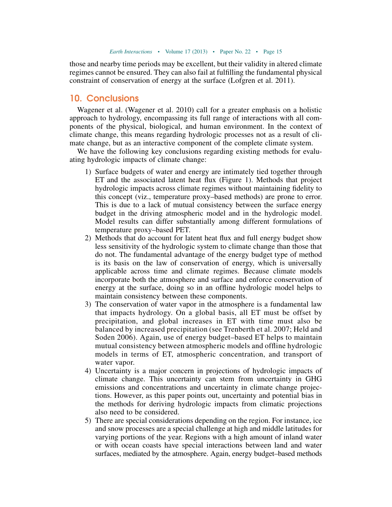those and nearby time periods may be excellent, but their validity in altered climate regimes cannot be ensured. They can also fail at fulfilling the fundamental physical constraint of conservation of energy at the surface (Lofgren et al. 2011).

# 10. Conclusions

Wagener et al. (Wagener et al. 2010) call for a greater emphasis on a holistic approach to hydrology, encompassing its full range of interactions with all components of the physical, biological, and human environment. In the context of climate change, this means regarding hydrologic processes not as a result of climate change, but as an interactive component of the complete climate system.

We have the following key conclusions regarding existing methods for evaluating hydrologic impacts of climate change:

- 1) Surface budgets of water and energy are intimately tied together through ET and the associated latent heat flux (Figure 1). Methods that project hydrologic impacts across climate regimes without maintaining fidelity to this concept (viz., temperature proxy–based methods) are prone to error. This is due to a lack of mutual consistency between the surface energy budget in the driving atmospheric model and in the hydrologic model. Model results can differ substantially among different formulations of temperature proxy–based PET.
- 2) Methods that do account for latent heat flux and full energy budget show less sensitivity of the hydrologic system to climate change than those that do not. The fundamental advantage of the energy budget type of method is its basis on the law of conservation of energy, which is universally applicable across time and climate regimes. Because climate models incorporate both the atmosphere and surface and enforce conservation of energy at the surface, doing so in an offline hydrologic model helps to maintain consistency between these components.
- 3) The conservation of water vapor in the atmosphere is a fundamental law that impacts hydrology. On a global basis, all ET must be offset by precipitation, and global increases in ET with time must also be balanced by increased precipitation (see Trenberth et al. 2007; Held and Soden 2006). Again, use of energy budget–based ET helps to maintain mutual consistency between atmospheric models and offline hydrologic models in terms of ET, atmospheric concentration, and transport of water vapor.
- 4) Uncertainty is a major concern in projections of hydrologic impacts of climate change. This uncertainty can stem from uncertainty in GHG emissions and concentrations and uncertainty in climate change projections. However, as this paper points out, uncertainty and potential bias in the methods for deriving hydrologic impacts from climatic projections also need to be considered.
- 5) There are special considerations depending on the region. For instance, ice and snow processes are a special challenge at high and middle latitudes for varying portions of the year. Regions with a high amount of inland water or with ocean coasts have special interactions between land and water surfaces, mediated by the atmosphere. Again, energy budget–based methods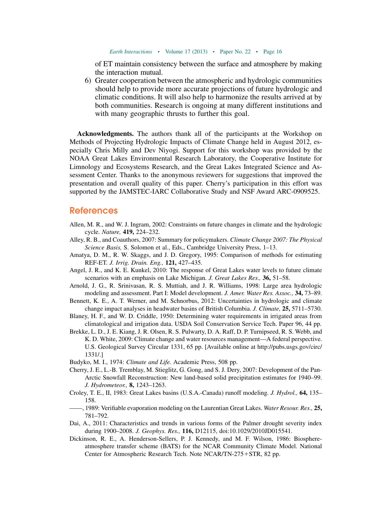of ET maintain consistency between the surface and atmosphere by making the interaction mutual.

6) Greater cooperation between the atmospheric and hydrologic communities should help to provide more accurate projections of future hydrologic and climatic conditions. It will also help to harmonize the results arrived at by both communities. Research is ongoing at many different institutions and with many geographic thrusts to further this goal.

Acknowledgments. The authors thank all of the participants at the Workshop on Methods of Projecting Hydrologic Impacts of Climate Change held in August 2012, especially Chris Milly and Dev Niyogi. Support for this workshop was provided by the NOAA Great Lakes Environmental Research Laboratory, the Cooperative Institute for Limnology and Ecosystems Research, and the Great Lakes Integrated Science and Assessment Center. Thanks to the anonymous reviewers for suggestions that improved the presentation and overall quality of this paper. Cherry's participation in this effort was supported by the JAMSTEC-IARC Collaborative Study and NSF Award ARC-0909525.

#### References

- Allen, M. R., and W. J. Ingram, 2002: Constraints on future changes in climate and the hydrologic cycle. Nature, 419, 224–232.
- Alley, R. B., and Coauthors, 2007: Summary for policymakers. Climate Change 2007: The Physical Science Basis, S. Solomon et al., Eds., Cambridge University Press, 1–13.
- Amatya, D. M., R. W. Skaggs, and J. D. Gregory, 1995: Comparison of methods for estimating REF-ET. J. Irrig. Drain. Eng., 121, 427–435.
- Angel, J. R., and K. E. Kunkel, 2010: The response of Great Lakes water levels to future climate scenarios with an emphasis on Lake Michigan. J. Great Lakes Res., 36, 51–58.
- Arnold, J. G., R. Srinivasan, R. S. Muttiah, and J. R. Williams, 1998: Large area hydrologic modeling and assessment. Part I: Model development. J. Amer. Water Res. Assoc., 34, 73–89.
- Bennett, K. E., A. T. Werner, and M. Schnorbus, 2012: Uncertainties in hydrologic and climate change impact analyses in headwater basins of British Columbia. J. Climate, 25, 5711–5730.
- Blaney, H. F., and W. D. Criddle, 1950: Determining water requirements in irrigated areas from climatological and irrigation data. USDA Soil Conservation Service Tech. Paper 96, 44 pp.
- Brekke, L. D., J. E. Kiang, J. R. Olsen, R. S. Pulwarty, D. A. Raff, D. P. Turnipseed, R. S. Webb, and K. D. White, 2009: Climate change and water resources management—A federal perspective. U.S. Geological Survey Circular 1331, 65 pp. [Available online at [http://pubs.usgs.gov/circ/](http://pubs.usgs.gov/circ/1331/) [1331/](http://pubs.usgs.gov/circ/1331/).]

Budyko, M. I., 1974: Climate and Life. Academic Press, 508 pp.

- Cherry, J. E., L.-B. Tremblay, M. Stieglitz, G. Gong, and S. J. Dery, 2007: Development of the Pan-Arctic Snowfall Reconstruction: New land-based solid precipitation estimates for 1940–99. J. Hydrometeor., 8, 1243–1263.
- Croley, T. E., II, 1983: Great Lakes basins (U.S.A.-Canada) runoff modeling. J. Hydrol., 64, 135– 158.
- —, 1989: Verifiable evaporation modeling on the Laurentian Great Lakes. Water Resour. Res., 25, 781–792.
- Dai, A., 2011: Characteristics and trends in various forms of the Palmer drought severity index during 1900–2008. J. Geophys. Res., 116, D12115, doi:10.1029/2010JD015541.
- Dickinson, R. E., A. Henderson-Sellers, P. J. Kennedy, and M. F. Wilson, 1986: Biosphereatmosphere transfer scheme (BATS) for the NCAR Community Climate Model. National Center for Atmospheric Research Tech. Note NCAR/TN-275+STR, 82 pp.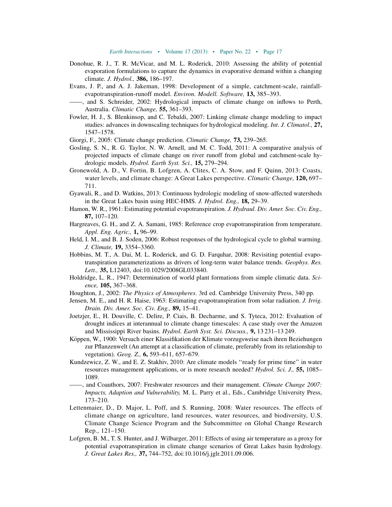- Donohue, R. J., T. R. McVicar, and M. L. Roderick, 2010: Assessing the ability of potential evaporation formulations to capture the dynamics in evaporative demand within a changing climate. J. Hydrol., 386, 186–197.
- Evans, J. P., and A. J. Jakeman, 1998: Development of a simple, catchment-scale, rainfallevapotranspiration-runoff model. Environ. Modell. Software, 13, 385–393.
- ——, and S. Schreider, 2002: Hydrological impacts of climate change on inflows to Perth, Australia. Climatic Change, 55, 361–393.
- Fowler, H. J., S. Blenkinsop, and C. Tebaldi, 2007: Linking climate change modeling to impact studies: advances in downscaling techniques for hydrological modeling. *Int. J. Climatol.*, 27, 1547–1578.
- Giorgi, F., 2005: Climate change prediction. Climatic Change, 73, 239–265.
- Gosling, S. N., R. G. Taylor, N. W. Arnell, and M. C. Todd, 2011: A comparative analysis of projected impacts of climate change on river runoff from global and catchment-scale hydrologic models. Hydrol. Earth Syst. Sci., 15, 279-294.
- Gronewold, A. D., V. Fortin, B. Lofgren, A. Clites, C. A. Stow, and F. Quinn, 2013: Coasts, water levels, and climate change: A Great Lakes perspective. Climatic Change, 120, 697– 711.
- Gyawali, R., and D. Watkins, 2013: Continuous hydrologic modeling of snow-affected watersheds in the Great Lakes basin using HEC-HMS. J. Hydrol. Eng., 18, 29–39.
- Hamon, W. R., 1961: Estimating potential evapotranspiration. J. Hydraul. Div. Amer. Soc. Civ. Eng., 87, 107–120.
- Hargreaves, G. H., and Z. A. Samani, 1985: Reference crop evapotranspiration from temperature. Appl. Eng. Agric., 1, 96–99.
- Held, I. M., and B. J. Soden, 2006: Robust responses of the hydrological cycle to global warming. J. Climate, 19, 3354–3360.
- Hobbins, M. T., A. Dai, M. L. Roderick, and G. D. Farquhar, 2008: Revisiting potential evapotranspiration parameterizations as drivers of long-term water balance trends. Geophys. Res. Lett., 35, L12403, doi:10.1029/2008GL033840.
- Holdridge, L. R., 1947: Determination of world plant formations from simple climatic data. Science, 105, 367–368.
- Houghton, J., 2002: The Physics of Atmospheres. 3rd ed. Cambridge University Press, 340 pp.
- Jensen, M. E., and H. R. Haise, 1963: Estimating evapotranspiration from solar radiation. J. Irrig. Drain. Div. Amer. Soc. Civ. Eng., 89, 15–41.
- Joetzjer, E., H. Douville, C. Delire, P. Ciais, B. Decharme, and S. Tyteca, 2012: Evaluation of drought indices at interannual to climate change timescales: A case study over the Amazon and Mississippi River basins. Hydrol. Earth Syst. Sci. Discuss., 9, 13 231–13 249.
- Köppen, W., 1900: Versuch einer Klassifikation der Klimate vorzugsweise nach ihren Beziehungen zur Pflanzenwelt (An attempt at a classification of climate, preferably from its relationship to vegetation). Geog. Z., 6, 593-611, 657-679.
- Kundzewicz, Z. W., and E. Z. Stakhiv, 2010: Are climate models ''ready for prime time'' in water resources management applications, or is more research needed? Hydrol. Sci. J., 55, 1085– 1089.
- , and Coauthors, 2007: Freshwater resources and their management. Climate Change 2007: Impacts, Adaption and Vulnerability, M. L. Parry et al., Eds., Cambridge University Press, 173–210.
- Lettenmaier, D., D. Major, L. Poff, and S. Running, 2008: Water resources. The effects of climate change on agriculture, land resources, water resources, and biodiversity, U.S. Climate Change Science Program and the Subcommittee on Global Change Research Rep., 121–150.
- Lofgren, B. M., T. S. Hunter, and J. Wilbarger, 2011: Effects of using air temperature as a proxy for potential evapotranspiration in climate change scenarios of Great Lakes basin hydrology. J. Great Lakes Res., 37, 744–752, doi:10.1016/j.jglr.2011.09.006.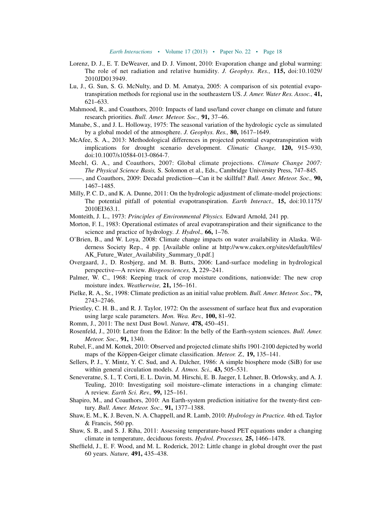- Lorenz, D. J., E. T. DeWeaver, and D. J. Vimont, 2010: Evaporation change and global warming: The role of net radiation and relative humidity. J. Geophys. Res., 115, doi:10.1029/ 2010JD013949.
- Lu, J., G. Sun, S. G. McNulty, and D. M. Amatya, 2005: A comparison of six potential evapotranspiration methods for regional use in the southeastern US. J. Amer. Water Res. Assoc., 41, 621–633.
- Mahmood, R., and Coauthors, 2010: Impacts of land use/land cover change on climate and future research priorities. Bull. Amer. Meteor. Soc., 91, 37–46.
- Manabe, S., and J. L. Holloway, 1975: The seasonal variation of the hydrologic cycle as simulated by a global model of the atmosphere. J. Geophys. Res., 80, 1617–1649.
- McAfee, S. A., 2013: Methodological differences in projected potential evapotranspiration with implications for drought scenario development. Climatic Change, 120, 915–930, doi:10.1007/s10584-013-0864-7.
- Meehl, G. A., and Coauthors, 2007: Global climate projections. Climate Change 2007: The Physical Science Basis, S. Solomon et al., Eds., Cambridge University Press, 747–845.
- ——, and Coauthors, 2009: Decadal prediction—Can it be skillful? Bull. Amer. Meteor. Soc., 90, 1467–1485.
- Milly, P. C. D., and K. A. Dunne, 2011: On the hydrologic adjustment of climate-model projections: The potential pitfall of potential evapotranspiration. Earth Interact., 15, doi:10.1175/ 2010EI363.1.
- Monteith, J. L., 1973: Principles of Environmental Physics. Edward Arnold, 241 pp.
- Morton, F. I., 1983: Operational estimates of areal evapotranspiration and their significance to the science and practice of hydrology. J. Hydrol., 66, 1–76.
- O'Brien, B., and W. Loya, 2008: Climate change impacts on water availability in Alaska. Wilderness Society Rep., 4 pp. [Available online at [http://www.cakex.org/sites/default/files/](http://www.cakex.org/sites/default/files/AK_Future_Water_Availability_Summary_0.pdf) AK Future Water Availability Summary 0.pdf.]
- Overgaard, J., D. Rosbjerg, and M. B. Butts, 2006: Land-surface modeling in hydrological perspective—A review. *Biogeosciences*, 3, 229–241.
- Palmer, W. C., 1968: Keeping track of crop moisture conditions, nationwide: The new crop moisture index. Weatherwise, 21, 156–161.
- Pielke, R. A., Sr., 1998: Climate prediction as an initial value problem. Bull. Amer. Meteor. Soc., 79, 2743–2746.
- Priestley, C. H. B., and R. J. Taylor, 1972: On the assessment of surface heat flux and evaporation using large scale parameters. Mon. Wea. Rev., 100, 81-92.
- Romm, J., 2011: The next Dust Bowl. Nature, 478, 450–451.
- Rosenfeld, J., 2010: Letter from the Editor: In the belly of the Earth-system sciences. Bull. Amer. Meteor. Soc., 91, 1340.
- Rubel, F., and M. Kottek, 2010: Observed and projected climate shifts 1901-2100 depicted by world maps of the Köppen-Geiger climate classification. Meteor. Z., 19, 135–141.
- Sellers, P. J., Y. Mintz, Y. C. Sud, and A. Dalcher, 1986: A simple biosphere mode (SiB) for use within general circulation models. J. Atmos. Sci., 43, 505-531.
- Seneveratne, S. I., T. Corti, E. L. Davin, M. Hirschi, E. B. Jaeger, I. Lehner, B. Orlowsky, and A. J. Teuling, 2010: Investigating soil moisture–climate interactions in a changing climate: A review. Earth Sci. Rev., 99, 125–161.
- Shapiro, M., and Coauthors, 2010: An Earth-system prediction initiative for the twenty-first century. Bull. Amer. Meteor. Soc., 91, 1377-1388.
- Shaw, E. M., K. J. Beven, N. A. Chappell, and R. Lamb, 2010: Hydrology in Practice. 4th ed. Taylor & Francis, 560 pp.
- Shaw, S. B., and S. J. Riha, 2011: Assessing temperature-based PET equations under a changing climate in temperature, deciduous forests. Hydrol. Processes, 25, 1466–1478.
- Sheffield, J., E. F. Wood, and M. L. Roderick, 2012: Little change in global drought over the past 60 years. Nature, 491, 435–438.